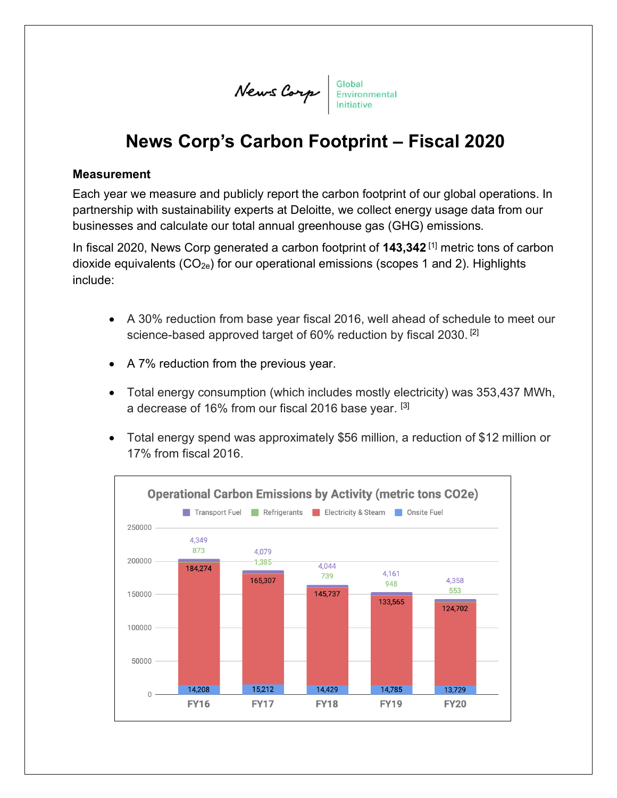News Corp Slobal Environmental

# **News Corp's Carbon Footprint – Fiscal 2020**

## **Measurement**

Each year we measure and publicly report the carbon footprint of our global operations. In partnership with sustainability experts at Deloitte, we collect energy usage data from our businesses and calculate our total annual greenhouse gas (GHG) emissions.

In fiscal 2020, News Corp generated a carbon footprint of **143,342**<sup>[1]</sup> metric tons of carbon dioxide equivalents  $(CO_{2e})$  for our operational emissions (scopes 1 and 2). Highlights include:

- A 30% reduction from base year fiscal 2016, well ahead of schedule to meet our science-based approved target of 60% reduction by fiscal 2030.<sup>[2]</sup>
- A 7% reduction from the previous year.
- Total energy consumption (which includes mostly electricity) was 353,437 MWh, a decrease of 16% from our fiscal 2016 base year. [3]
- Total energy spend was approximately \$56 million, a reduction of \$12 million or 17% from fiscal 2016.

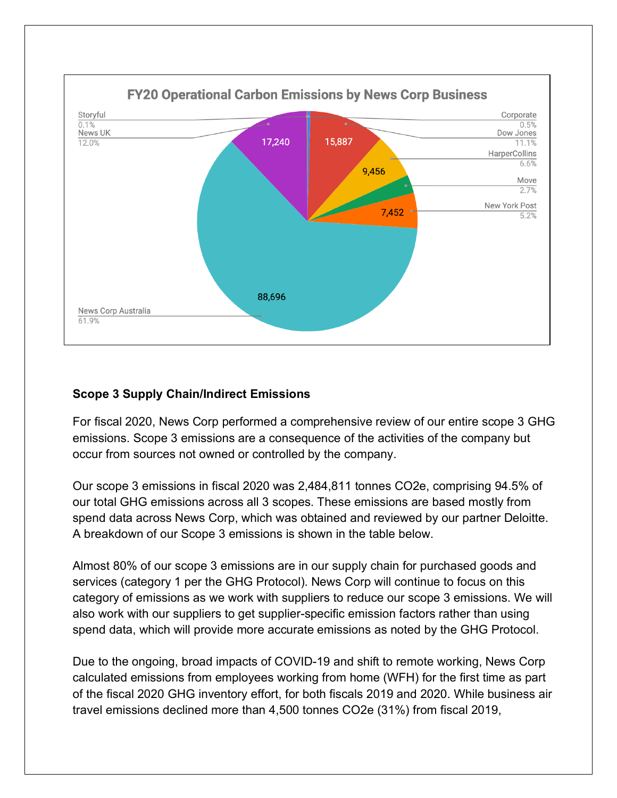

## **Scope 3 Supply Chain/Indirect Emissions**

For fiscal 2020, News Corp performed a comprehensive review of our entire scope 3 GHG emissions. Scope 3 emissions are a consequence of the activities of the company but occur from sources not owned or controlled by the company.

Our scope 3 emissions in fiscal 2020 was 2,484,811 tonnes CO2e, comprising 94.5% of our total GHG emissions across all 3 scopes. These emissions are based mostly from spend data across News Corp, which was obtained and reviewed by our partner Deloitte. A breakdown of our Scope 3 emissions is shown in the table below.

Almost 80% of our scope 3 emissions are in our supply chain for purchased goods and services (category 1 per the GHG Protocol). News Corp will continue to focus on this category of emissions as we work with suppliers to reduce our scope 3 emissions. We will also work with our suppliers to get supplier-specific emission factors rather than using spend data, which will provide more accurate emissions as noted by the GHG Protocol.

Due to the ongoing, broad impacts of COVID-19 and shift to remote working, News Corp calculated emissions from employees working from home (WFH) for the first time as part of the fiscal 2020 GHG inventory effort, for both fiscals 2019 and 2020. While business air travel emissions declined more than 4,500 tonnes CO2e (31%) from fiscal 2019,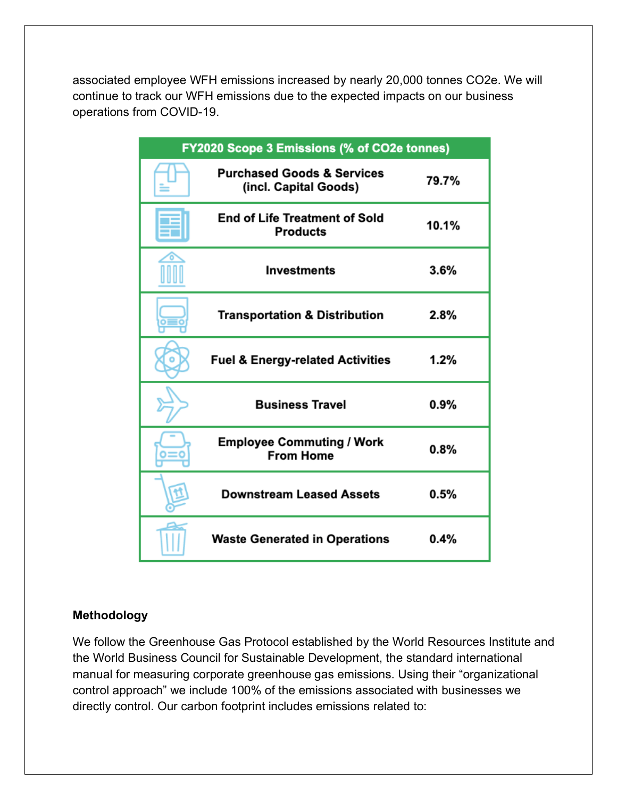associated employee WFH emissions increased by nearly 20,000 tonnes CO2e. We will continue to track our WFH emissions due to the expected impacts on our business operations from COVID-19.

| FY2020 Scope 3 Emissions (% of CO2e tonnes) |                                                                |         |  |
|---------------------------------------------|----------------------------------------------------------------|---------|--|
|                                             | <b>Purchased Goods &amp; Services</b><br>(incl. Capital Goods) | 79.7%   |  |
|                                             | <b>End of Life Treatment of Sold</b><br><b>Products</b>        | 10.1%   |  |
|                                             | <b>Investments</b>                                             | 3.6%    |  |
|                                             | <b>Transportation &amp; Distribution</b>                       | $2.8\%$ |  |
|                                             | <b>Fuel &amp; Energy-related Activities</b>                    | 1.2%    |  |
|                                             | <b>Business Travel</b>                                         | $0.9\%$ |  |
|                                             | <b>Employee Commuting / Work</b><br><b>From Home</b>           | 0.8%    |  |
|                                             | <b>Downstream Leased Assets</b>                                | $0.5\%$ |  |
|                                             | <b>Waste Generated in Operations</b>                           | 0.4%    |  |

## **Methodology**

We follow the Greenhouse Gas Protocol established by the World Resources Institute and the World Business Council for Sustainable Development, the standard international manual for measuring corporate greenhouse gas emissions. Using their "organizational control approach" we include 100% of the emissions associated with businesses we directly control. Our carbon footprint includes emissions related to: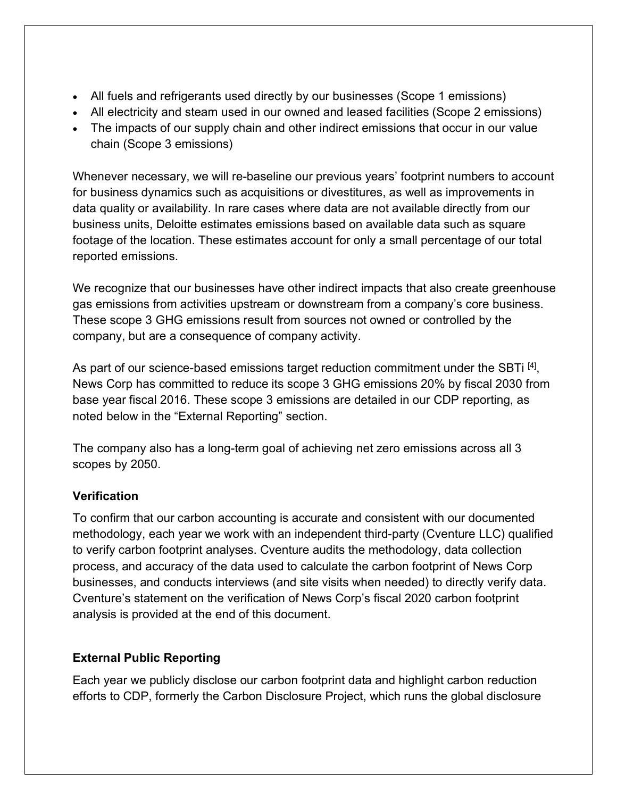- All fuels and refrigerants used directly by our businesses (Scope 1 emissions)
- All electricity and steam used in our owned and leased facilities (Scope 2 emissions)
- The impacts of our supply chain and other indirect emissions that occur in our value chain (Scope 3 emissions)

Whenever necessary, we will re-baseline our previous years' footprint numbers to account for business dynamics such as acquisitions or divestitures, as well as improvements in data quality or availability. In rare cases where data are not available directly from our business units, Deloitte estimates emissions based on available data such as square footage of the location. These estimates account for only a small percentage of our total reported emissions.

We recognize that our businesses have other indirect impacts that also create greenhouse gas emissions from activities upstream or downstream from a company's core business. These scope 3 GHG emissions result from sources not owned or controlled by the company, but are a consequence of company activity.

As part of our science-based emissions target reduction commitment under the SBTi<sup>[4]</sup>, News Corp has committed to reduce its scope 3 GHG emissions 20% by fiscal 2030 from base year fiscal 2016. These scope 3 emissions are detailed in our CDP reporting, as noted below in the "External Reporting" section.

The company also has a long-term goal of achieving net zero emissions across all 3 scopes by 2050.

# **Verification**

To confirm that our carbon accounting is accurate and consistent with our documented methodology, each year we work with an independent third-party (Cventure LLC) qualified to verify carbon footprint analyses. Cventure audits the methodology, data collection process, and accuracy of the data used to calculate the carbon footprint of News Corp businesses, and conducts interviews (and site visits when needed) to directly verify data. Cventure's statement on the verification of News Corp's fiscal 2020 carbon footprint analysis is provided at the end of this document.

# **External Public Reporting**

Each year we publicly disclose our carbon footprint data and highlight carbon reduction efforts to CDP, formerly the Carbon Disclosure Project, which runs the global disclosure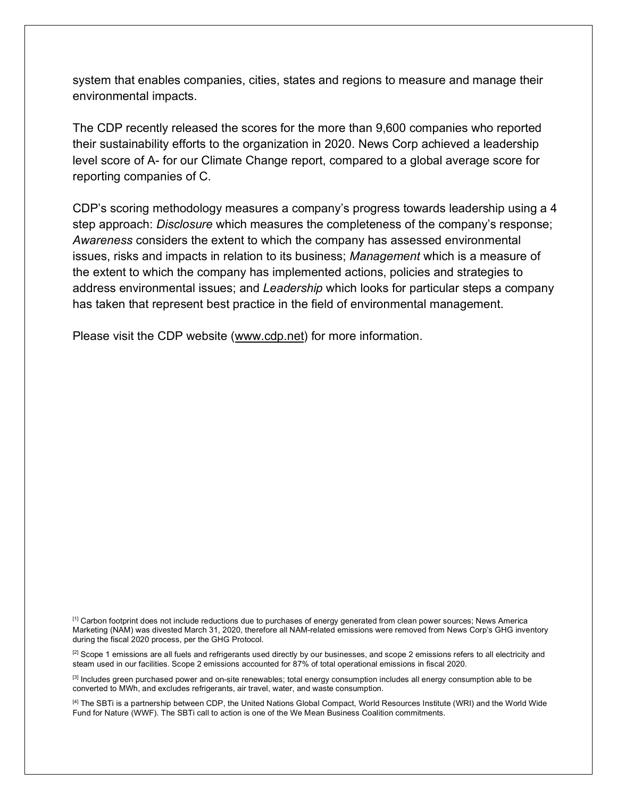system that enables companies, cities, states and regions to measure and manage their environmental impacts.

The CDP recently released the scores for the more than 9,600 companies who reported their sustainability efforts to the organization in 2020. News Corp achieved a leadership level score of A- for our Climate Change report, compared to a global average score for reporting companies of C.

CDP's scoring methodology measures a company's progress towards leadership using a 4 step approach: *Disclosure* which measures the completeness of the company's response; *Awareness* considers the extent to which the company has assessed environmental issues, risks and impacts in relation to its business; *Management* which is a measure of the extent to which the company has implemented actions, policies and strategies to address environmental issues; and *Leadership* which looks for particular steps a company has taken that represent best practice in the field of environmental management.

Please visit the CDP website (www.cdp.net) for more information.

[1] Carbon footprint does not include reductions due to purchases of energy generated from clean power sources; News America Marketing (NAM) was divested March 31, 2020, therefore all NAM-related emissions were removed from News Corp's GHG inventory during the fiscal 2020 process, per the GHG Protocol.

<sup>[2]</sup> Scope 1 emissions are all fuels and refrigerants used directly by our businesses, and scope 2 emissions refers to all electricity and steam used in our facilities. Scope 2 emissions accounted for 87% of total operational emissions in fiscal 2020.

[3] Includes green purchased power and on-site renewables; total energy consumption includes all energy consumption able to be converted to MWh, and excludes refrigerants, air travel, water, and waste consumption.

[4] The SBTi is a partnership between CDP, the United Nations Global Compact, World Resources Institute (WRI) and the World Wide Fund for Nature (WWF). The SBTi call to action is one of the We Mean Business Coalition commitments.